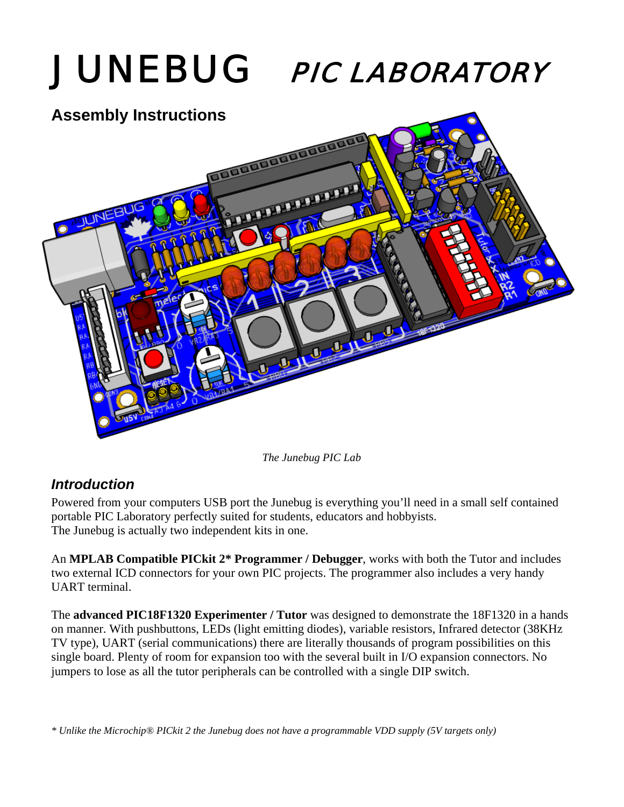

*The Junebug PIC Lab* 

# *Introduction*

Powered from your computers USB port the Junebug is everything you'll need in a small self contained portable PIC Laboratory perfectly suited for students, educators and hobbyists. The Junebug is actually two independent kits in one.

An **MPLAB Compatible PICkit 2\* Programmer / Debugger**, works with both the Tutor and includes two external ICD connectors for your own PIC projects. The programmer also includes a very handy UART terminal.

The **advanced PIC18F1320 Experimenter / Tutor** was designed to demonstrate the 18F1320 in a hands on manner. With pushbuttons, LEDs (light emitting diodes), variable resistors, Infrared detector (38KHz TV type), UART (serial communications) there are literally thousands of program possibilities on this single board. Plenty of room for expansion too with the several built in I/O expansion connectors. No jumpers to lose as all the tutor peripherals can be controlled with a single DIP switch.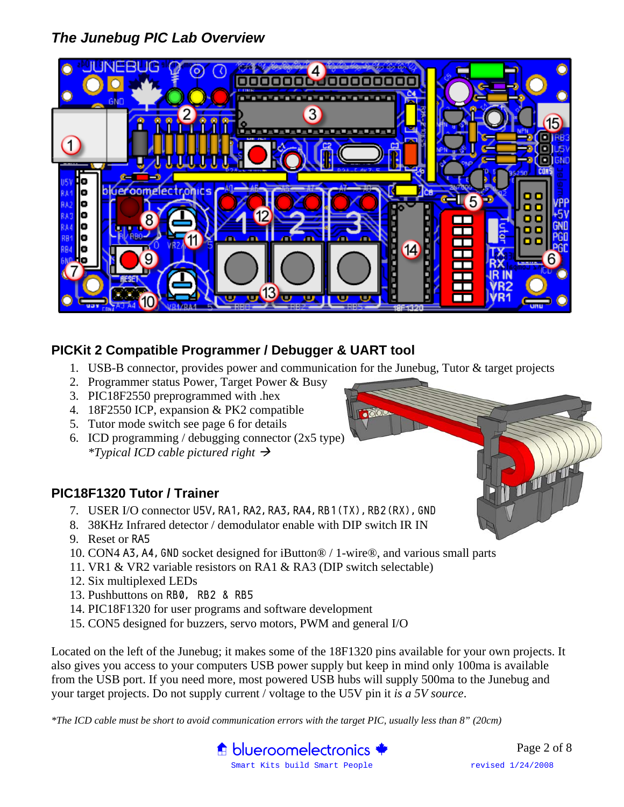# *The Junebug PIC Lab Overview*



# **PICKit 2 Compatible Programmer / Debugger & UART tool**

- 1. USB-B connector, provides power and communication for the Junebug, Tutor & target projects
- 2. Programmer status Power, Target Power & Busy
- 3. PIC18F2550 preprogrammed with .hex
- 4. 18F2550 ICP, expansion & PK2 compatible
- 5. Tutor mode switch see page 6 for details
- 6. ICD programming / debugging connector  $(2x5$  type) *\*Typical ICD cable pictured right*  $\rightarrow$

### **PIC18F1320 Tutor / Trainer**

- 7. USER I/O connector U5V, RA1, RA2, RA3, RA4, RB1(TX), RB2(RX), GND
- 8. 38KHz Infrared detector / demodulator enable with DIP switch IR IN
- 9. Reset or RA5
- 10. CON4 A3,A4,GND socket designed for iButton® / 1-wire®, and various small parts
- 11. VR1 & VR2 variable resistors on RA1 & RA3 (DIP switch selectable)
- 12. Six multiplexed LEDs
- 13. Pushbuttons on RB0, RB2 & RB5
- 14. PIC18F1320 for user programs and software development
- 15. CON5 designed for buzzers, servo motors, PWM and general I/O

Located on the left of the Junebug; it makes some of the 18F1320 pins available for your own projects. It also gives you access to your computers USB power supply but keep in mind only 100ma is available from the USB port. If you need more, most powered USB hubs will supply 500ma to the Junebug and your target projects. Do not supply current / voltage to the U5V pin it *is a 5V source*.

*\*The ICD cable must be short to avoid communication errors with the target PIC, usually less than 8" (20cm)* 



一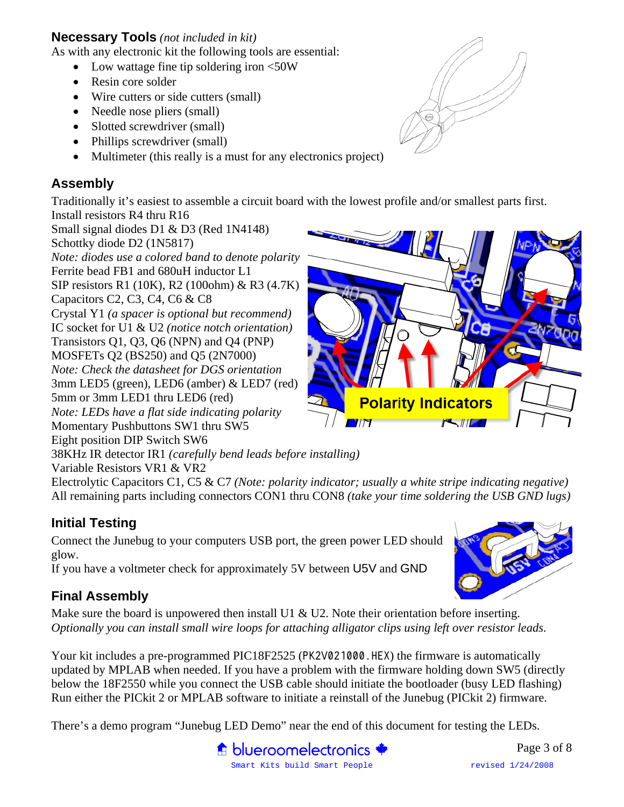### **Necessary Tools** *(not included in kit)*

As with any electronic kit the following tools are essential:

- Low wattage fine tip soldering iron <50W
- Resin core solder
- Wire cutters or side cutters (small)
- Needle nose pliers (small)
- Slotted screwdriver (small)
- Phillips screwdriver (small)
- Multimeter (this really is a must for any electronics project)

# **Assembly**

Traditionally it's easiest to assemble a circuit board with the lowest profile and/or smallest parts first.

Install resistors R4 thru R16 Small signal diodes D1 & D3 (Red 1N4148) Schottky diode D2 (1N5817) *Note: diodes use a colored band to denote polarity*  Ferrite bead FB1 and 680uH inductor L1 SIP resistors R1 (10K), R2 (100ohm) & R3 (4.7K) Capacitors C2, C3, C4, C6 & C8 Crystal Y1 *(a spacer is optional but recommend)* IC socket for U1 & U2 *(notice notch orientation)* Transistors Q1, Q3, Q6 (NPN) and Q4 (PNP) MOSFETs Q2 (BS250) and Q5 (2N7000) *Note: Check the datasheet for DGS orientation*  3mm LED5 (green), LED6 (amber) & LED7 (red) 5mm or 3mm LED1 thru LED6 (red) *Note: LEDs have a flat side indicating polarity*  Momentary Pushbuttons SW1 thru SW5 Eight position DIP Switch SW6

38KHz IR detector IR1 *(carefully bend leads before installing)* 

Variable Resistors VR1 & VR2

Electrolytic Capacitors C1, C5 & C7 *(Note: polarity indicator; usually a white stripe indicating negative)*  All remaining parts including connectors CON1 thru CON8 *(take your time soldering the USB GND lugs)* 

# **Initial Testing**

Connect the Junebug to your computers USB port, the green power LED should glow.

If you have a voltmeter check for approximately 5V between U5V and GND

# **Final Assembly**

Make sure the board is unpowered then install U1 & U2. Note their orientation before inserting. *Optionally you can install small wire loops for attaching alligator clips using left over resistor leads.* 

Your kit includes a pre-programmed PIC18F2525 (PK2V021000.HEX) the firmware is automatically updated by MPLAB when needed. If you have a problem with the firmware holding down SW5 (directly below the 18F2550 while you connect the USB cable should initiate the bootloader (busy LED flashing) Run either the PICkit 2 or MPLAB software to initiate a reinstall of the Junebug (PICkit 2) firmware.

There's a demo program "Junebug LED Demo" near the end of this document for testing the LEDs.







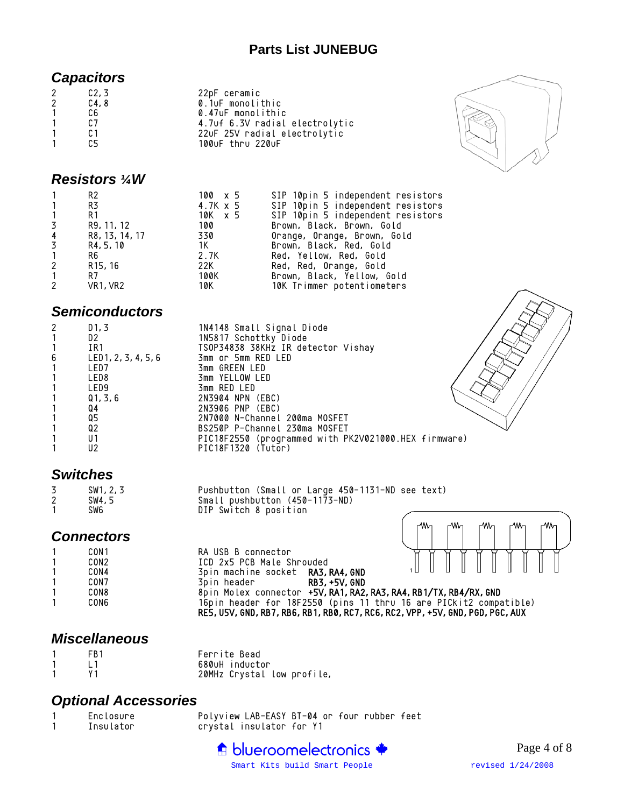### **Parts List JUNEBUG**

### *Capacitors*

| 2           | C2, 3 | 22pF ceramic                   |
|-------------|-------|--------------------------------|
| $2^{\circ}$ | C4,8  | 0.1uF monolithic               |
|             | C6.   | 0.47uF monolithic              |
|             | C.7   | 4.7uf 6.3V radial electrolytic |
|             | C 1   | 22uF 25V radial electrolytic   |
|             | r5    | 100uF thru 220uF               |
|             |       |                                |



#### *Resistors ¼W*

|                | R2                                | 100 x 5  | SIP 10pin 5 independent resistors |
|----------------|-----------------------------------|----------|-----------------------------------|
| $\mathbf{1}$   | R3                                | 4.7K x 5 | SIP 10pin 5 independent resistors |
| $\mathbf{1}$   | R1                                | 10K x 5  | SIP 10pin 5 independent resistors |
| $\overline{3}$ | R9, 11, 12                        | 100      | Brown, Black, Brown, Gold         |
| $\overline{4}$ | R8, 13, 14, 17                    | 330      | Orange, Orange, Brown, Gold       |
| $\overline{3}$ | R4, 5, 10                         | - 1K - 1 | Brown, Black, Red, Gold           |
| $\mathbf{1}$   | R6                                | 2.7K     | Red, Yellow, Red, Gold            |
| $\mathbf{2}$   | R <sub>15</sub> , 16              | 22K      | Red, Red, Orange, Gold            |
| $\mathbf{1}$   | R7                                | 100K     | Brown, Black, Yellow, Gold        |
| $\mathbf{2}$   | VR <sub>1</sub> , VR <sub>2</sub> | 10K -    | 10K Trimmer potentiometers        |

# *Semiconductors*

| 2 | D1, 3               | 1N4148 Small Signal Diode                            |
|---|---------------------|------------------------------------------------------|
|   | D2                  | 1N5817 Schottky Diode                                |
|   | IR1                 | TSOP34838 38KHz IR detector Vishay                   |
| 6 | LED1, 2, 3, 4, 5, 6 | 3mm or 5mm RED LED                                   |
|   | LED7                | 3mm GREEN LED                                        |
|   | LED <sub>8</sub>    | 3mm YELLOW LED                                       |
|   | LED <sub>9</sub>    | 3mm RED LED                                          |
|   | Q1, 3, 6            | 2N3904 NPN (EBC)                                     |
|   | Q4                  | 2N3906 PNP (EBC)                                     |
|   | Q5                  | 2N7000 N-Channel 200ma MOSFET                        |
|   | Q2                  | BS250P P-Channel 230ma MOSFET                        |
|   | U1                  | PIC18F2550 (programmed with PK2V021000.HEX firmware) |
|   | U2                  | PIC18F1320 (Tutor)                                   |
|   |                     |                                                      |

# *Switches*

| 3 | SW1, 2, 3 | Pushbutton (Small or Large 450-1131-ND see text) |  |
|---|-----------|--------------------------------------------------|--|
|   | SW4.5     | Small pushbutton (450-1173-ND)                   |  |
|   | SW6       | DIP Switch 8 position                            |  |

# *Connectors*

|   | CONT |
|---|------|
| 1 | CON2 |
| 1 | CON4 |
| 1 | CON7 |
| 1 | CON8 |
| 1 | CON6 |
|   |      |

RA USB B connector<br>ICD 2x5 PCB Male Shrouded 3pin machine socket RA3, RA4, GND 1 CON7 3pin header RB3,+5V,GND 1 CON8 8pin Molex connector +5V,RA1,RA2,RA3,RA4,RB1/TX,RB4/RX,GND 1 CON6 16pin header for 18F2550 (pins 11 thru 16 are PICkit2 compatible) RE5,U5V,GND,RB7,RB6,RB1,RB0,RC7,RC6,RC2,VPP,+5V,GND,PGD,PGC,AUX

ላለሌ

٨M,

ላለለ

w.

# *Miscellaneous*

| FR <sub>1</sub> | Ferrite Bead               |
|-----------------|----------------------------|
|                 | 680uH inductor             |
|                 | 20MHz Crystal low profile, |

# *Optional Accessories*

| Enclosure | Polyview LAB-EASY BT-04 or four rubber feet |  |  |
|-----------|---------------------------------------------|--|--|
| Insulator | crystal insulator for Y1                    |  |  |



**WV**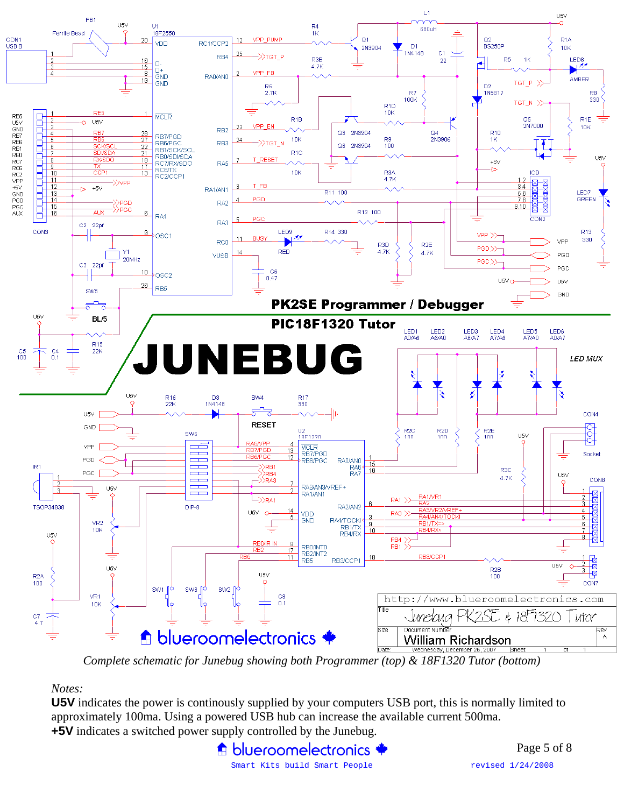

*Complete schematic for Junebug showing both Programmer (top) & 18F1320 Tutor (bottom)* 

#### *Notes:*

**U5V** indicates the power is continously supplied by your computers USB port, this is normally limited to approximately 100ma. Using a powered USB hub can increase the available current 500ma. **+5V** indicates a switched power supply controlled by the Junebug.

> **A** blueroomelectronics Smart Kits build Smart People revised  $1/24/2008$

Page 5 of 8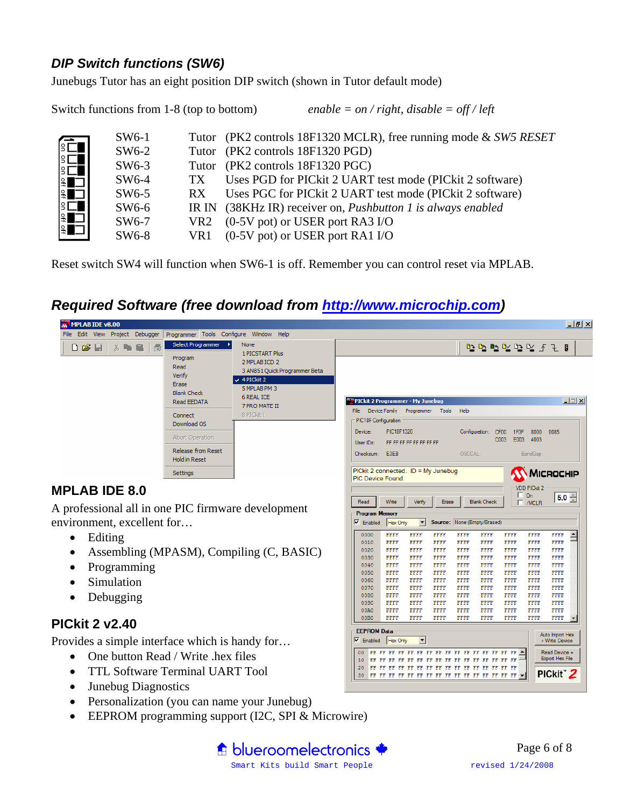# *DIP Switch functions (SW6)*

Junebugs Tutor has an eight position DIP switch (shown in Tutor default mode)

Switch functions from 1-8 (top to bottom) *enable = on / right, disable = off / left*  SW6-1 Tutor (PK2 controls 18F1320 MCLR), free running mode & *SW5 RESET* SW6-2 Tutor (PK2 controls 18F1320 PGD) SW6-3 Tutor (PK2 controls 18F1320 PGC) SW6-4 TX Uses PGD for PICkit 2 UART test mode (PICkit 2 software) SW6-5 RX Uses PGC for PICkit 2 UART test mode (PICkit 2 software) SW6-6 IR IN (38KHz IR) receiver on, *Pushbutton 1 is always enabled*  SW6-7 VR2 (0-5V pot) or USER port RA3 I/O SW6-8 VR1 (0-5V pot) or USER port RA1 I/O

Reset switch SW4 will function when SW6-1 is off. Remember you can control reset via MPLAB.

# *Required Software (free download from http://www.microchip.com)*



fit blueroomelectronics

- Personalization (you can name your Junebug)
- 

Smart Kits build Smart People **revised** 1/24/2008 Page 6 of 8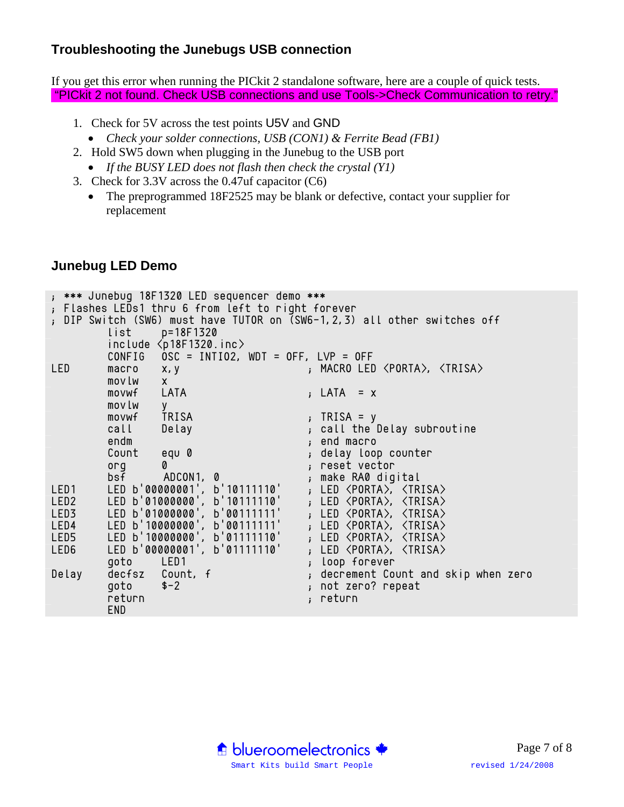# **Troubleshooting the Junebugs USB connection**

If you get this error when running the PICkit 2 standalone software, here are a couple of quick tests. "PICkit 2 not found. Check USB connections and use Tools->Check Communication to retry."

- 1. Check for 5V across the test points U5V and GND
	- *Check your solder connections, USB (CON1) & Ferrite Bead (FB1)*
- 2. Hold SW5 down when plugging in the Junebug to the USB port
	- *If the BUSY LED does not flash then check the crystal (Y1)*
- 3. Check for 3.3V across the 0.47uf capacitor (C6)
	- The preprogrammed 18F2525 may be blank or defective, contact your supplier for replacement

# **Junebug LED Demo**

```
; *** Junebug 18F1320 LED sequencer demo *** 
; Flashes LEDs1 thru 6 from left to right forever 
; DIP Switch (SW6) must have TUTOR on (SW6-1,2,3) all other switches off 
        list p=18F1320 
        include <p18F1320.inc> 
        CONFIG OSC = INTIO2, WDT = OFF, LVP = OFF 
LED macro x,y ; MACRO LED \langle PORTA\rangle, \langle TRISA\ranglemovlw x<br>movwf LATA
       movwf LATA ; LATA = x
        movlw y 
       movwf TRISA ; TRISA = y
        call Delay ; call the Delay subroutine 
        endm ; end macro 
                                  , delay loop counter
        org 0 ; reset vector 
 bsf ADCON1, 0 ; make RA0 digital 
LED1 LED b'00000001', b'10111110' ; LED <PORTA>, <TRISA> 
LED2 LED b'01000000', b'10111110' ; LED <PORTA>, <TRISA> 
LED3 LED b'01000000', b'00111111' ; LED <PORTA>, <TRISA> 
LED4 LED b'10000000', b'00111111' ; LED <PORTA>, <TRISA> 
LED5 LED b'10000000', b'01111110' ; LED <PORTA>, <TRISA> 
LED6 LED b'00000001', b'01111110' ; LED <PORTA>, <TRISA> 
       LED b'00000001', b'01111110' ; LED \langle PORTA \rangle, \langle TRISA \rangle<br>goto LED1Delay decfsz Count, f ; decrement Count and skip when zero
        goto $-2 ; not zero? repeat 
       return ; return
        END
```